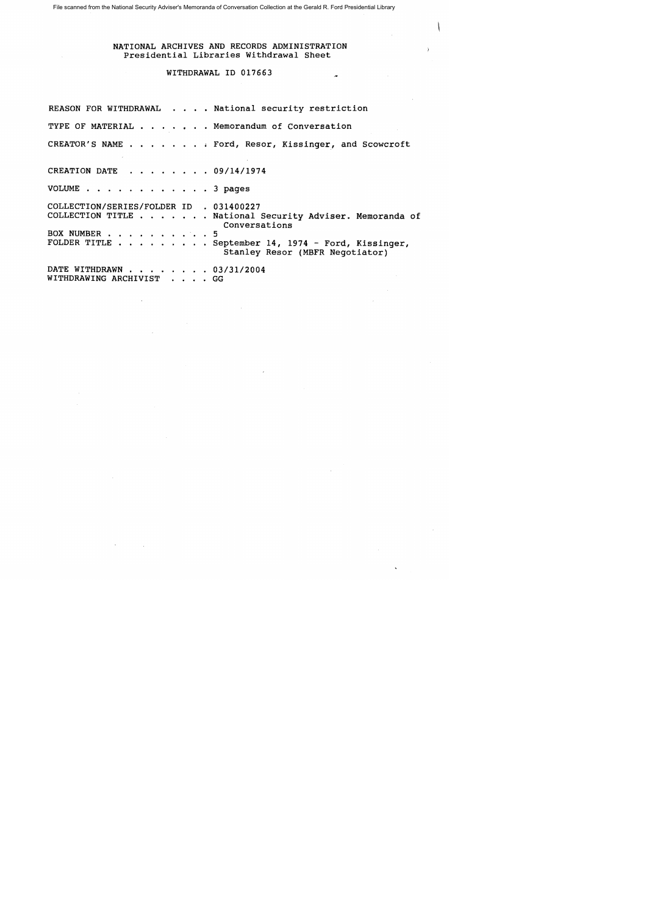File scanned from the National Security Adviser's Memoranda of Conversation Collection at the Gerald R. Ford Presidential Library

## NATIONAL ARCHIVES AND RECORDS ADMINISTRATION Presidential Libraries Withdrawal Sheet

## WITHDRAWAL ID 017663

REASON FOR WITHDRAWAL . . . . National security restriction TYPE OF MATERIAL . . . . . Memorandum of Conversation CREATOR'S NAME . . . . . . . . Ford, Resor, Kissinger, and Scowcroft CREATION DATE  $\cdot \cdot \cdot \cdot \cdot \cdot 09/14/1974$ VOLUME . . . . . . . . . . . . 3 pages COLLECTION/SERIES/FOLDER ID . 031400227 COLLECTION/SERIES/FOLDER ID . 031400227<br>COLLECTION TITLE . . . . . . . National Security Adviser. Memoranda of Conversations COLLECTION TITLE . . . . . . . N<br>BOX NUMBER . . . . . . . . . . 5<br>FOLDER TITLE BOX NUMBER . . . . . . . . . . 5<br>FOLDER TITLE . . . . . . . . September 14, 1974 - Ford, Kissinger, Stanley Resor (MBFR Negotiator) DATE WITHDRAWN . . . . . . . 03/31/2004 WITHDRAWING ARCHIVIST . . . . GG